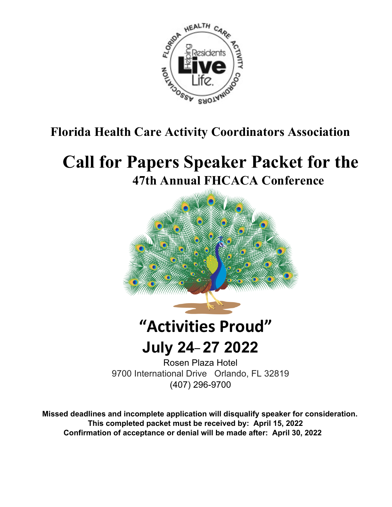

# **Florida Health Care Activity Coordinators Association**

# **Call for Papers Speaker Packet for the 47th Annual FHCACA Conference**



# **"Activities Proud"**

**July 24\_ 27 2022**

Rosen Plaza Hotel 9700 International Drive Orlando, FL 32819 (407) 296-9700

 **Missed deadlines and incomplete application will disqualify speaker for consideration. This completed packet must be received by: April 15, 2022 Confirmation of acceptance or denial will be made after: April 30, 2022**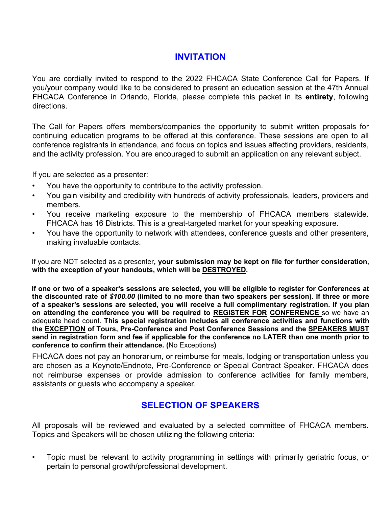### **INVITATION**

You are cordially invited to respond to the 2022 FHCACA State Conference Call for Papers. If you/your company would like to be considered to present an education session at the 47th Annual FHCACA Conference in Orlando, Florida, please complete this packet in its **entirety**, following directions.

The Call for Papers offers members/companies the opportunity to submit written proposals for continuing education programs to be offered at this conference. These sessions are open to all conference registrants in attendance, and focus on topics and issues affecting providers, residents, and the activity profession. You are encouraged to submit an application on any relevant subject.

If you are selected as a presenter:

- You have the opportunity to contribute to the activity profession.
- You gain visibility and credibility with hundreds of activity professionals, leaders, providers and members.
- You receive marketing exposure to the membership of FHCACA members statewide. FHCACA has 16 Districts. This is a great-targeted market for your speaking exposure.
- You have the opportunity to network with attendees, conference guests and other presenters, making invaluable contacts.

If you are NOT selected as a presenter**, your submission may be kept on file for further consideration, with the exception of your handouts, which will be DESTROYED.** 

**If one or two of a speaker's sessions are selected, you will be eligible to register for Conferences at the discounted rate of** *\$100.00* **(limited to no more than two speakers per session). If three or more of a speaker's sessions are selected, you will receive a full complimentary registration. If you plan on attending the conference you will be required to REGISTER FOR CONFERENCE** so we have an adequate head count. **This special registration includes all conference activities and functions with the EXCEPTION of Tours, Pre-Conference and Post Conference Sessions and the SPEAKERS MUST send in registration form and fee if applicable for the conference no LATER than one month prior to conference to confirm their attendance. (**No Exceptions**)** 

FHCACA does not pay an honorarium, or reimburse for meals, lodging or transportation unless you are chosen as a Keynote/Endnote, Pre-Conference or Special Contract Speaker. FHCACA does not reimburse expenses or provide admission to conference activities for family members, assistants or guests who accompany a speaker.

## **SELECTION OF SPEAKERS**

All proposals will be reviewed and evaluated by a selected committee of FHCACA members. Topics and Speakers will be chosen utilizing the following criteria:

• Topic must be relevant to activity programming in settings with primarily geriatric focus, or pertain to personal growth/professional development.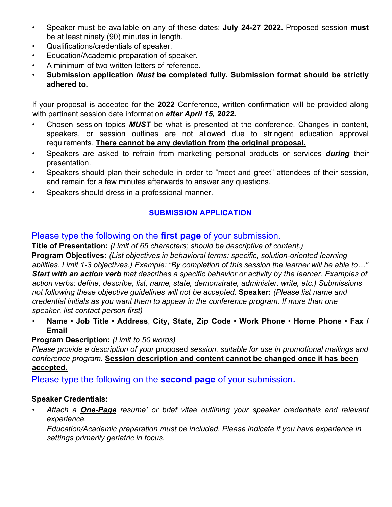- Speaker must be available on any of these dates: **July 24-27 2022.** Proposed session **must**  be at least ninety (90) minutes in length.
- Qualifications/credentials of speaker.
- Education/Academic preparation of speaker.
- A minimum of two written letters of reference.
- **Submission application** *Must* **be completed fully. Submission format should be strictly adhered to.**

If your proposal is accepted for the **2022** Conference, written confirmation will be provided along with pertinent session date information *after April 15, 2022.*

- Chosen session topics *MUST* be what is presented at the conference. Changes in content, speakers, or session outlines are not allowed due to stringent education approval requirements. **There cannot be any deviation from the original proposal.**
- Speakers are asked to refrain from marketing personal products or services *during* their presentation.
- Speakers should plan their schedule in order to "meet and greet" attendees of their session, and remain for a few minutes afterwards to answer any questions.
- Speakers should dress in a professional manner.

#### **SUBMISSION APPLICATION**

#### Please type the following on the **first page** of your submission.

**Title of Presentation:** *(Limit of 65 characters; should be descriptive of content.)*  **Program Objectives:** *(List objectives in behavioral terms: specific, solution-oriented learning abilities. Limit 1-3 objectives.) Example: "By completion of this session the learner will be able to…" Start with an action verb that describes a specific behavior or activity by the learner. Examples of action verbs: define, describe, list, name, state, demonstrate, administer, write, etc.) Submissions not following these objective guidelines will not be accepted.* **Speaker:** *(Please list name and credential initials as you want them to appear in the conference program. If more than one speaker, list contact person first)*

• **Name** • **Job Title** • **Address**, **City, State, Zip Code** • **Work Phone** • **Home Phone** • **Fax / Email**

#### **Program Description:** *(Limit to 50 words)*

*Please provide a description of your* proposed *session, suitable for use in promotional mailings and conference program.* **Session description and content cannot be changed once it has been accepted.**

Please type the following on the **second page** of your submission.

#### **Speaker Credentials:**

• *Attach a One-Page resume' or brief vitae outlining your speaker credentials and relevant experience.* 

*Education/Academic preparation must be included. Please indicate if you have experience in settings primarily geriatric in focus.*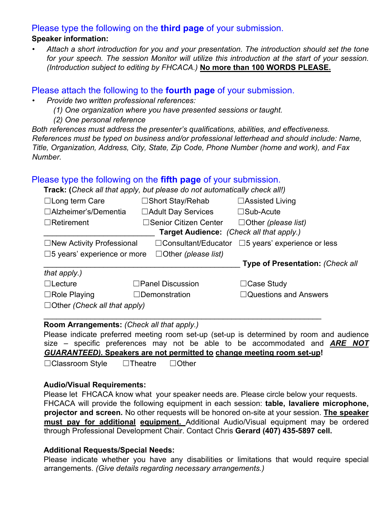#### Please type the following on the **third page** of your submission.

#### **Speaker information:**

• *Attach a short introduction for you and your presentation. The introduction should set the tone for your speech. The session Monitor will utilize this introduction at the start of your session. (Introduction subject to editing by FHCACA.)* **No more than 100 WORDS PLEASE.**

#### Please attach the following to the **fourth page** of your submission.

- *Provide two written professional references:*
	- *(1) One organization where you have presented sessions or taught.*
	- *(2) One personal reference*

*Both references must address the presenter's qualifications, abilities, and effectiveness. References must be typed on business and/or professional letterhead and should include: Name, Title, Organization, Address, City, State, Zip Code, Phone Number (home and work), and Fax Number.* 

#### Please type the following on the **fifth page** of your submission.

**Track: (***Check all that apply, but please do not automatically check all!)* 

| $\Box$ Long term Care                                               | □Short Stay/Rehab          | $\Box$ Assisted Living                  |  |  |
|---------------------------------------------------------------------|----------------------------|-----------------------------------------|--|--|
| □Alzheimer's/Dementia                                               | □ Adult Day Services       | $\square$ Sub-Acute                     |  |  |
| $\Box$ Retirement                                                   | □Senior Citizen Center     | $\Box$ Other (please list)              |  |  |
| Target Audience: (Check all that apply.)                            |                            |                                         |  |  |
| $\Box$ New Activity Professional                                    | $\Box$ Consultant/Educator | $\square$ 5 years' experience or less   |  |  |
| $\square$ 5 years' experience or more<br>$\Box$ Other (please list) |                            |                                         |  |  |
|                                                                     |                            | <b>Type of Presentation: (Check all</b> |  |  |
| that apply.)                                                        |                            |                                         |  |  |
|                                                                     |                            |                                         |  |  |
| $\Box$ Lecture                                                      | $\Box$ Panel Discussion    | $\Box$ Case Study                       |  |  |
| $\Box$ Role Playing                                                 | $\Box$ Demonstration       | $\Box$ Questions and Answers            |  |  |
| $\Box$ Other (Check all that apply)                                 |                            |                                         |  |  |

#### **Room Arrangements:** *(Check all that apply.)*

Please indicate preferred meeting room set-up (set-up is determined by room and audience size – specific preferences may not be able to be accommodated and *ARE NOT GUARANTEED).* **Speakers are not permitted to change meeting room set-up!** 

☐Classroom Style ☐Theatre ☐Other

#### **Audio/Visual Requirements:**

Please let FHCACA know what your speaker needs are. Please circle below your requests. FHCACA will provide the following equipment in each session: **table, lavaliere microphone, projector and screen.** No other requests will be honored on-site at your session. **The speaker must pay for additional equipment.** Additional Audio/Visual equipment may be ordered through Professional Development Chair. Contact Chris **Gerard (407) 435-5897 cell.**

#### **Additional Requests/Special Needs:**

Please indicate whether you have any disabilities or limitations that would require special arrangements. *(Give details regarding necessary arrangements.)*